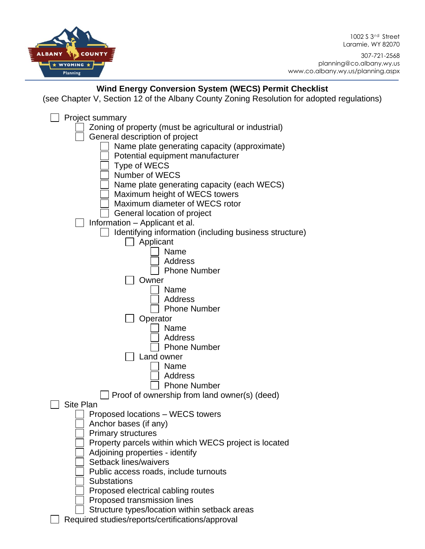COUNTY **ALBANY** \* WYOMING \* Planning

1002 S 3<sup>rd</sup> Street Laramie, WY 82070

307-721-2568 planning@co.albany.wy.us www.co.albany.wy.us/planning.aspx

## **Wind Energy Conversion System (WECS) Permit Checklist**

(see Chapter V, Section 12 of the Albany County Zoning Resolution for adopted regulations)

| Project summary                                                         |
|-------------------------------------------------------------------------|
| Zoning of property (must be agricultural or industrial)                 |
| General description of project                                          |
| Name plate generating capacity (approximate)                            |
| Potential equipment manufacturer                                        |
| <b>Type of WECS</b>                                                     |
| Number of WECS                                                          |
| Name plate generating capacity (each WECS)                              |
| Maximum height of WECS towers                                           |
| Maximum diameter of WECS rotor                                          |
| General location of project                                             |
| Information - Applicant et al.                                          |
| Identifying information (including business structure)                  |
| Applicant                                                               |
| Name                                                                    |
| Address                                                                 |
| <b>Phone Number</b>                                                     |
| Owner                                                                   |
| Name                                                                    |
| <b>Address</b>                                                          |
| <b>Phone Number</b>                                                     |
| Operator                                                                |
| Name                                                                    |
| Address                                                                 |
| <b>Phone Number</b>                                                     |
| Land owner                                                              |
| Name                                                                    |
| <b>Address</b>                                                          |
| <b>Phone Number</b>                                                     |
| $\Box$ Proof of ownership from land owner(s) (deed)<br><b>Site Plan</b> |
| Proposed locations - WECS towers                                        |
| Anchor bases (if any)                                                   |
| <b>Primary structures</b>                                               |
| Property parcels within which WECS project is located                   |
| Adjoining properties - identify                                         |
| Setback lines/waivers                                                   |
| Public access roads, include turnouts                                   |
| <b>Substations</b>                                                      |
| Proposed electrical cabling routes                                      |
| Proposed transmission lines                                             |
| Structure types/location within setback areas                           |
| Required studies/reports/certifications/approval                        |
|                                                                         |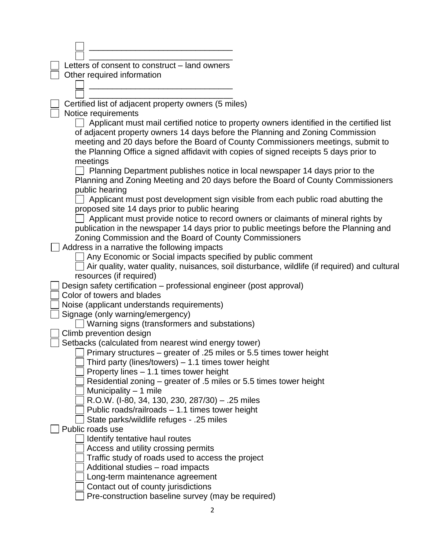| Letters of consent to construct - land owners                                                                                                    |  |
|--------------------------------------------------------------------------------------------------------------------------------------------------|--|
| Other required information                                                                                                                       |  |
|                                                                                                                                                  |  |
| Certified list of adjacent property owners (5 miles)                                                                                             |  |
| Notice requirements                                                                                                                              |  |
| Applicant must mail certified notice to property owners identified in the certified list                                                         |  |
| of adjacent property owners 14 days before the Planning and Zoning Commission                                                                    |  |
| meeting and 20 days before the Board of County Commissioners meetings, submit to                                                                 |  |
| the Planning Office a signed affidavit with copies of signed receipts 5 days prior to                                                            |  |
| meetings                                                                                                                                         |  |
| Planning Department publishes notice in local newspaper 14 days prior to the                                                                     |  |
| Planning and Zoning Meeting and 20 days before the Board of County Commissioners                                                                 |  |
| public hearing                                                                                                                                   |  |
| Applicant must post development sign visible from each public road abutting the                                                                  |  |
| proposed site 14 days prior to public hearing                                                                                                    |  |
| Applicant must provide notice to record owners or claimants of mineral rights by                                                                 |  |
| publication in the newspaper 14 days prior to public meetings before the Planning and<br>Zoning Commission and the Board of County Commissioners |  |
| Address in a narrative the following impacts                                                                                                     |  |
| Any Economic or Social impacts specified by public comment                                                                                       |  |
| Air quality, water quality, nuisances, soil disturbance, wildlife (if required) and cultural                                                     |  |
| resources (if required)                                                                                                                          |  |
| Design safety certification - professional engineer (post approval)                                                                              |  |
| Color of towers and blades                                                                                                                       |  |
| Noise (applicant understands requirements)                                                                                                       |  |
| Signage (only warning/emergency)                                                                                                                 |  |
| Warning signs (transformers and substations)                                                                                                     |  |
| Climb prevention design                                                                                                                          |  |
| Setbacks (calculated from nearest wind energy tower)                                                                                             |  |
| Primary structures – greater of .25 miles or 5.5 times tower height                                                                              |  |
| Third party (lines/towers) $-1.1$ times tower height<br>Property lines - 1.1 times tower height                                                  |  |
| Residential zoning – greater of .5 miles or 5.5 times tower height                                                                               |  |
| Municipality $-1$ mile                                                                                                                           |  |
| R.O.W. (I-80, 34, 130, 230, 287/30) - .25 miles                                                                                                  |  |
| Public roads/railroads - 1.1 times tower height                                                                                                  |  |
| State parks/wildlife refuges - .25 miles                                                                                                         |  |
| Public roads use                                                                                                                                 |  |
| Identify tentative haul routes                                                                                                                   |  |
| Access and utility crossing permits                                                                                                              |  |
| Traffic study of roads used to access the project                                                                                                |  |
| Additional studies - road impacts                                                                                                                |  |
| Long-term maintenance agreement                                                                                                                  |  |
| Contact out of county jurisdictions                                                                                                              |  |
| Pre-construction baseline survey (may be required)                                                                                               |  |